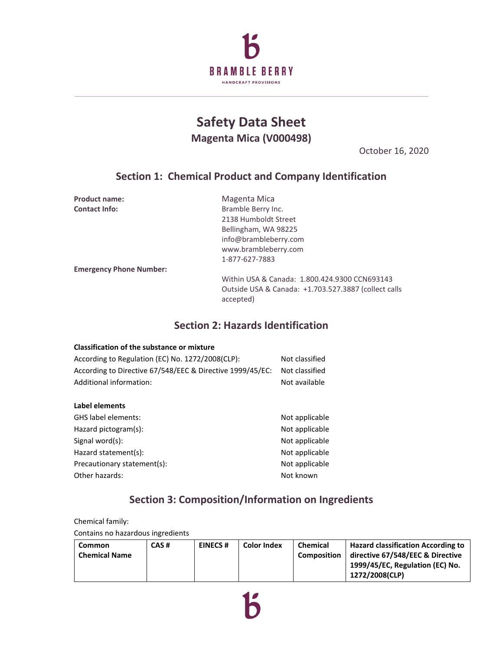

# **Safety Data Sheet Magenta Mica (V000498)**

October 16, 2020

### **Section 1: Chemical Product and Company Identification**

| <b>Product name:</b>           | Magenta Mica                                                      |
|--------------------------------|-------------------------------------------------------------------|
| <b>Contact Info:</b>           | Bramble Berry Inc.                                                |
|                                | 2138 Humboldt Street                                              |
|                                | Bellingham, WA 98225                                              |
|                                | info@brambleberry.com                                             |
|                                | www.brambleberry.com                                              |
|                                | 1-877-627-7883                                                    |
| <b>Emergency Phone Number:</b> |                                                                   |
|                                | Within USA & Canada: 1.800.424.9300 CCN693143                     |
|                                | Outside USA & Canada: +1.703.527.3887 (collect calls<br>accepted) |
|                                |                                                                   |

## **Section 2: Hazards Identification**

| <b>Classification of the substance or mixture</b>         |                |
|-----------------------------------------------------------|----------------|
| According to Regulation (EC) No. 1272/2008(CLP):          | Not classified |
| According to Directive 67/548/EEC & Directive 1999/45/EC: | Not classified |
| Additional information:                                   | Not available  |
|                                                           |                |
| Label elements                                            |                |
| GHS label elements:                                       | Not applicable |
| Hazard pictogram(s):                                      | Not applicable |
| Signal word(s):                                           | Not applicable |
| Hazard statement(s):                                      | Not applicable |
| Precautionary statement(s):                               | Not applicable |
| Other hazards:                                            | Not known      |
|                                                           |                |

# **Section 3: Composition/Information on Ingredients**

Chemical family: Contains no hazardous ingredients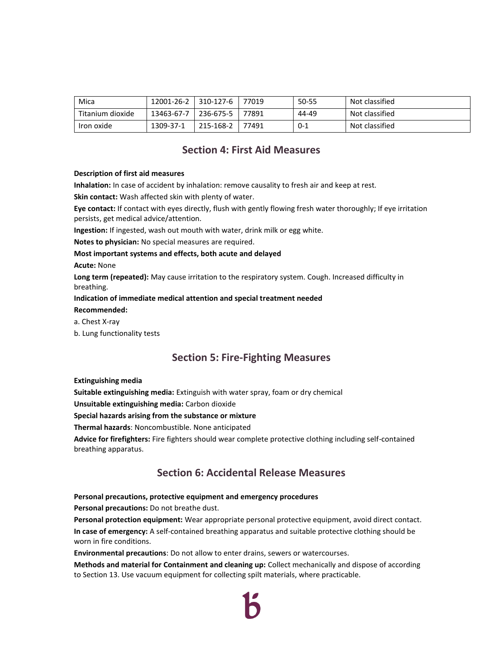| Mica             | 12001-26-2 | 310-127-6        | 77019 | 50-55   | Not classified |
|------------------|------------|------------------|-------|---------|----------------|
| Titanium dioxide | 13463-67-7 | $1236 - 675 - 5$ | 77891 | 44-49   | Not classified |
| Iron oxide       | 1309-37-1  | 215-168-2        | 77491 | $0 - 1$ | Not classified |

#### **Section 4: First Aid Measures**

#### **Description of first aid measures**

**Inhalation:** In case of accident by inhalation: remove causality to fresh air and keep at rest.

**Skin contact:** Wash affected skin with plenty of water.

**Eye contact:** If contact with eyes directly, flush with gently flowing fresh water thoroughly; If eye irritation persists, get medical advice/attention.

**Ingestion:** If ingested, wash out mouth with water, drink milk or egg white.

**Notes to physician:** No special measures are required.

#### **Most important systems and effects, both acute and delayed**

**Acute:** None

**Long term (repeated):** May cause irritation to the respiratory system. Cough. Increased difficulty in breathing.

#### **Indication of immediate medical attention and special treatment needed**

**Recommended:**

- a. Chest X-ray
- b. Lung functionality tests

### **Section 5: Fire-Fighting Measures**

#### **Extinguishing media**

**Suitable extinguishing media:** Extinguish with water spray, foam or dry chemical

**Unsuitable extinguishing media:** Carbon dioxide

#### **Special hazards arising from the substance or mixture**

**Thermal hazards**: Noncombustible. None anticipated

**Advice for firefighters:** Fire fighters should wear complete protective clothing including self-contained breathing apparatus.

### **Section 6: Accidental Release Measures**

#### **Personal precautions, protective equipment and emergency procedures**

**Personal precautions:** Do not breathe dust.

**Personal protection equipment:** Wear appropriate personal protective equipment, avoid direct contact. **In case of emergency:** A self-contained breathing apparatus and suitable protective clothing should be worn in fire conditions.

**Environmental precautions**: Do not allow to enter drains, sewers or watercourses.

**Methods and material for Containment and cleaning up:** Collect mechanically and dispose of according to Section 13. Use vacuum equipment for collecting spilt materials, where practicable.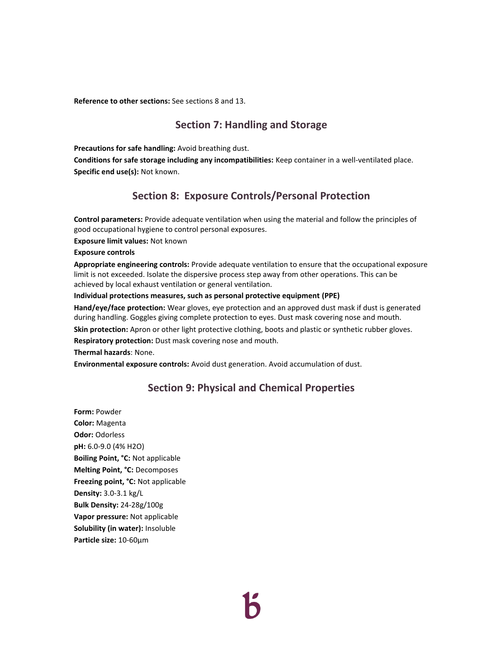**Reference to other sections:** See sections 8 and 13.

### **Section 7: Handling and Storage**

**Precautions for safe handling:** Avoid breathing dust.

**Conditions for safe storage including any incompatibilities:** Keep container in a well-ventilated place. **Specific end use(s):** Not known.

## **Section 8: Exposure Controls/Personal Protection**

**Control parameters:** Provide adequate ventilation when using the material and follow the principles of good occupational hygiene to control personal exposures.

**Exposure limit values:** Not known

**Exposure controls** 

**Appropriate engineering controls:** Provide adequate ventilation to ensure that the occupational exposure limit is not exceeded. Isolate the dispersive process step away from other operations. This can be achieved by local exhaust ventilation or general ventilation.

#### **Individual protections measures, such as personal protective equipment (PPE)**

**Hand/eye/face protection:** Wear gloves, eye protection and an approved dust mask if dust is generated during handling. Goggles giving complete protection to eyes. Dust mask covering nose and mouth.

**Skin protection:** Apron or other light protective clothing, boots and plastic or synthetic rubber gloves.

**Respiratory protection:** Dust mask covering nose and mouth.

**Thermal hazards**: None.

**Environmental exposure controls:** Avoid dust generation. Avoid accumulation of dust.

#### **Section 9: Physical and Chemical Properties**

**Form:** Powder **Color:** Magenta **Odor:** Odorless **pH:** 6.0-9.0 (4% H2O) **Boiling Point, °C:** Not applicable **Melting Point, °C:** Decomposes **Freezing point, °C:** Not applicable **Density:** 3.0-3.1 kg/L **Bulk Density:** 24-28g/100g **Vapor pressure:** Not applicable **Solubility (in water):** Insoluble **Particle size:** 10-60μm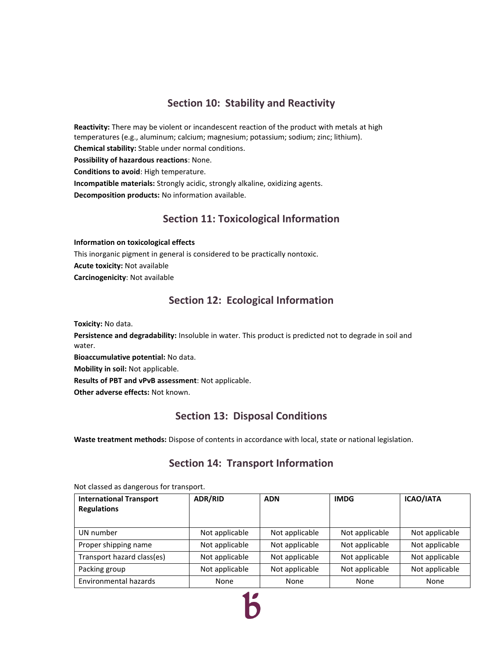### **Section 10: Stability and Reactivity**

**Reactivity:** There may be violent or incandescent reaction of the product with metals at high temperatures (e.g., aluminum; calcium; magnesium; potassium; sodium; zinc; lithium). **Chemical stability:** Stable under normal conditions. **Possibility of hazardous reactions**: None. **Conditions to avoid**: High temperature. **Incompatible materials:** Strongly acidic, strongly alkaline, oxidizing agents. **Decomposition products:** No information available.

### **Section 11: Toxicological Information**

**Information on toxicological effects** 

This inorganic pigment in general is considered to be practically nontoxic. **Acute toxicity:** Not available **Carcinogenicity**: Not available

### **Section 12: Ecological Information**

**Toxicity:** No data.

**Persistence and degradability:** Insoluble in water. This product is predicted not to degrade in soil and water.

**Bioaccumulative potential:** No data.

**Mobility in soil:** Not applicable.

**Results of PBT and vPvB assessment**: Not applicable.

**Other adverse effects:** Not known.

### **Section 13: Disposal Conditions**

**Waste treatment methods:** Dispose of contents in accordance with local, state or national legislation.

### **Section 14: Transport Information**

| <b>International Transport</b><br><b>Regulations</b> | <b>ADR/RID</b> | <b>ADN</b>     | <b>IMDG</b>    | <b>ICAO/IATA</b> |
|------------------------------------------------------|----------------|----------------|----------------|------------------|
| UN number                                            | Not applicable | Not applicable | Not applicable | Not applicable   |
| Proper shipping name                                 | Not applicable | Not applicable | Not applicable | Not applicable   |
| Transport hazard class(es)                           | Not applicable | Not applicable | Not applicable | Not applicable   |
| Packing group                                        | Not applicable | Not applicable | Not applicable | Not applicable   |
| Environmental hazards                                | None           | None           | None           | None             |

Not classed as dangerous for transport.

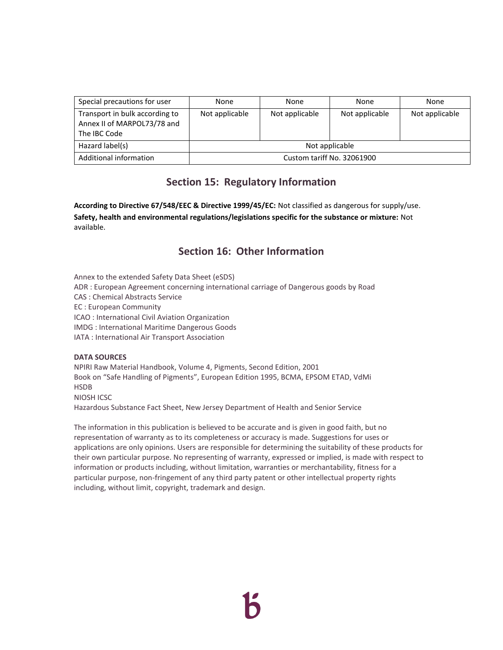| Special precautions for user                                                  | None                       | None           | None           | None           |  |
|-------------------------------------------------------------------------------|----------------------------|----------------|----------------|----------------|--|
| Transport in bulk according to<br>Annex II of MARPOL73/78 and<br>The IBC Code | Not applicable             | Not applicable | Not applicable | Not applicable |  |
| Hazard label(s)                                                               | Not applicable             |                |                |                |  |
| Additional information                                                        | Custom tariff No. 32061900 |                |                |                |  |

# **Section 15: Regulatory Information**

**According to Directive 67/548/EEC & Directive 1999/45/EC:** Not classified as dangerous for supply/use. **Safety, health and environmental regulations/legislations specific for the substance or mixture:** Not available.

# **Section 16: Other Information**

Annex to the extended Safety Data Sheet (eSDS)

ADR : European Agreement concerning international carriage of Dangerous goods by Road

CAS : Chemical Abstracts Service

EC : European Community

ICAO : International Civil Aviation Organization

IMDG : International Maritime Dangerous Goods

IATA : International Air Transport Association

#### **DATA SOURCES**

NPIRI Raw Material Handbook, Volume 4, Pigments, Second Edition, 2001 Book on "Safe Handling of Pigments", European Edition 1995, BCMA, EPSOM ETAD, VdMi HSDB NIOSH ICSC

Hazardous Substance Fact Sheet, New Jersey Department of Health and Senior Service

The information in this publication is believed to be accurate and is given in good faith, but no representation of warranty as to its completeness or accuracy is made. Suggestions for uses or applications are only opinions. Users are responsible for determining the suitability of these products for their own particular purpose. No representing of warranty, expressed or implied, is made with respect to information or products including, without limitation, warranties or merchantability, fitness for a particular purpose, non-fringement of any third party patent or other intellectual property rights including, without limit, copyright, trademark and design.